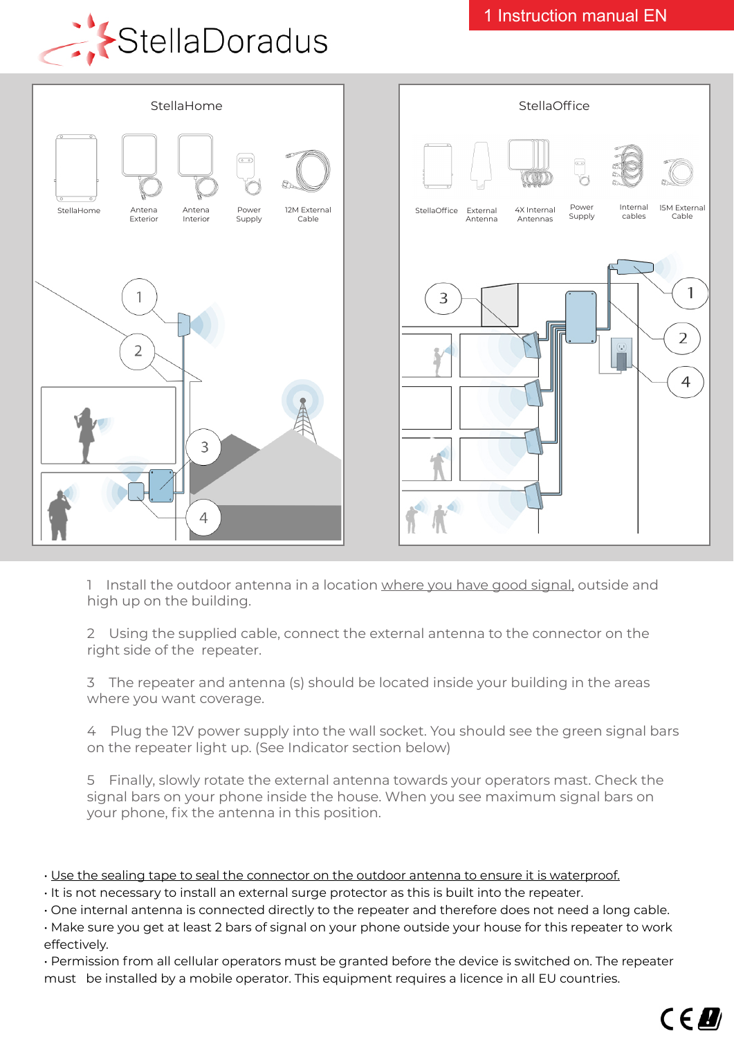



1 Install the outdoor antenna in a location where you have good signal, outside and high up on the building.

2 Using the supplied cable, connect the external antenna to the connector on the right side of the repeater.

3 The repeater and antenna (s) should be located inside your building in the areas where you want coverage.

4 Plug the 12V power supply into the wall socket. You should see the green signal bars on the repeater light up. (See Indicator section below)

5 Finally, slowly rotate the external antenna towards your operators mast. Check the signal bars on your phone inside the house. When you see maximum signal bars on your phone, fix the antenna in this position.

- Use the sealing tape to seal the connector on the outdoor antenna to ensure it is waterproof.
- It is not necessary to install an external surge protector as this is built into the repeater.
- One internal antenna is connected directly to the repeater and therefore does not need a long cable.
- Make sure you get at least 2 bars of signal on your phone outside your house for this repeater to work effectively.
- Permission from all cellular operators must be granted before the device is switched on. The repeater must be installed by a mobile operator. This equipment requires a licence in all EU countries.